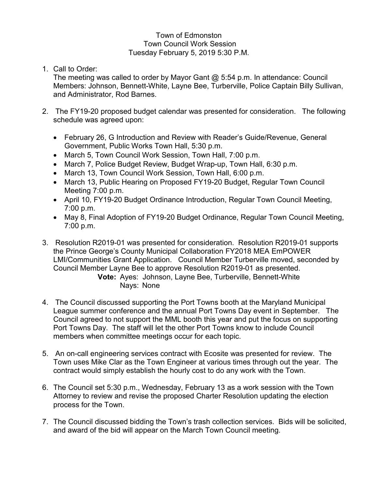## Town of Edmonston Town Council Work Session Tuesday February 5, 2019 5:30 P.M.

1. Call to Order:

The meeting was called to order by Mayor Gant @ 5:54 p.m. In attendance: Council Members: Johnson, Bennett-White, Layne Bee, Turberville, Police Captain Billy Sullivan, and Administrator, Rod Barnes.

- 2. The FY19-20 proposed budget calendar was presented for consideration. The following schedule was agreed upon:
	- February 26, G Introduction and Review with Reader's Guide/Revenue, General Government, Public Works Town Hall, 5:30 p.m.
	- March 5, Town Council Work Session, Town Hall, 7:00 p.m.
	- March 7, Police Budget Review, Budget Wrap-up, Town Hall, 6:30 p.m.
	- March 13, Town Council Work Session, Town Hall, 6:00 p.m.
	- March 13, Public Hearing on Proposed FY19-20 Budget, Regular Town Council Meeting 7:00 p.m.
	- April 10, FY19-20 Budget Ordinance Introduction, Regular Town Council Meeting, 7:00 p.m.
	- May 8, Final Adoption of FY19-20 Budget Ordinance, Regular Town Council Meeting, 7:00 p.m.
- 3. Resolution R2019-01 was presented for consideration. Resolution R2019-01 supports the Prince George's County Municipal Collaboration FY2018 MEA EmPOWER LMI/Communities Grant Application. Council Member Turberville moved, seconded by Council Member Layne Bee to approve Resolution R2019-01 as presented.

**Vote:** Ayes: Johnson, Layne Bee, Turberville, Bennett-White Nays: None

- 4. The Council discussed supporting the Port Towns booth at the Maryland Municipal League summer conference and the annual Port Towns Day event in September. The Council agreed to not support the MML booth this year and put the focus on supporting Port Towns Day. The staff will let the other Port Towns know to include Council members when committee meetings occur for each topic.
- 5. An on-call engineering services contract with Ecosite was presented for review. The Town uses Mike Clar as the Town Engineer at various times through out the year. The contract would simply establish the hourly cost to do any work with the Town.
- 6. The Council set 5:30 p.m., Wednesday, February 13 as a work session with the Town Attorney to review and revise the proposed Charter Resolution updating the election process for the Town.
- 7. The Council discussed bidding the Town's trash collection services. Bids will be solicited, and award of the bid will appear on the March Town Council meeting.